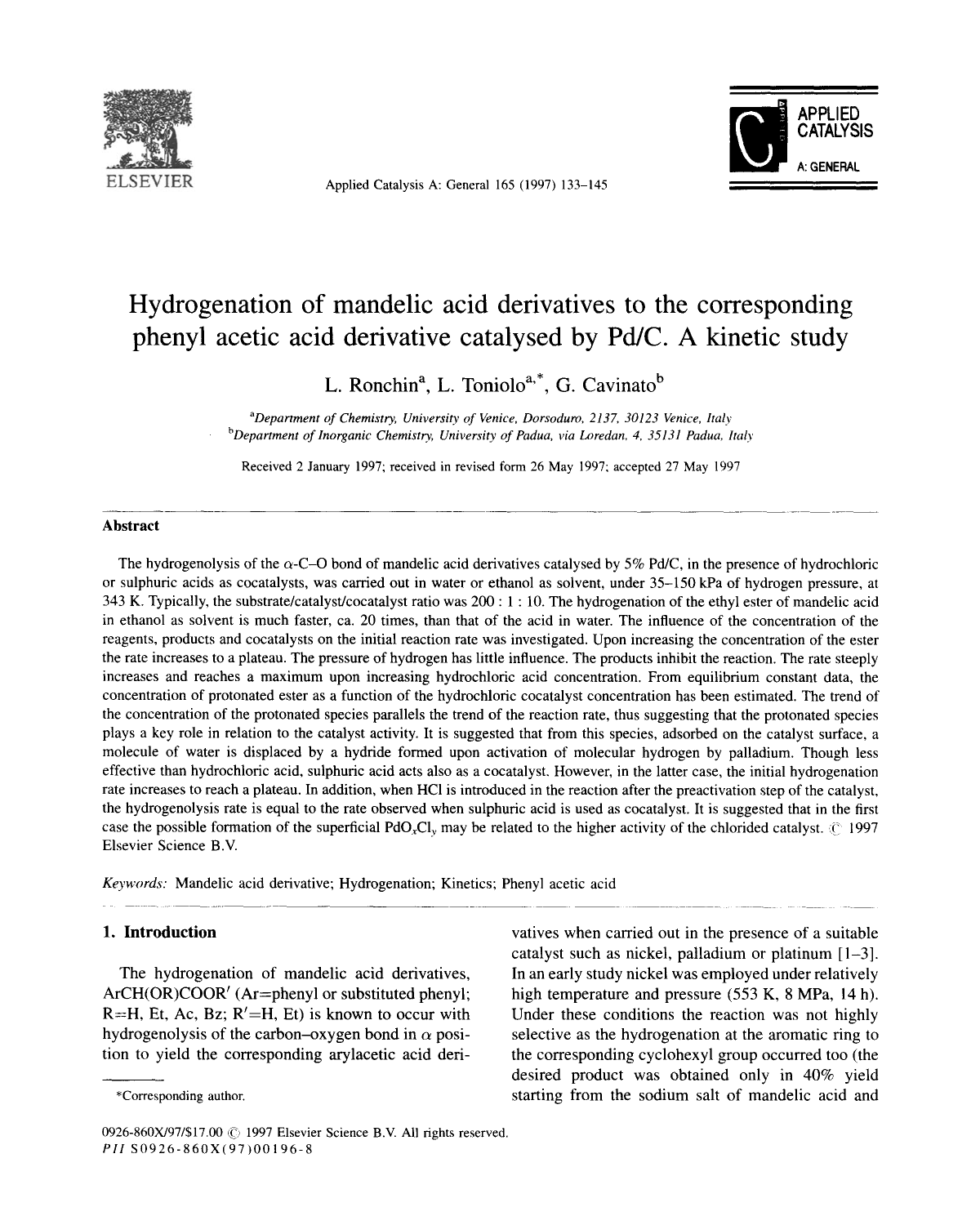

ELSEVIER Applied Catalysis A: General 165 (1997) 133-145



# **Hydrogenation of mandelic acid derivatives to the corresponding phenyl acetic acid derivative catalysed by Pd/C. A kinetic study**

L. Ronchin<sup>a</sup>, L. Toniolo<sup>a,\*</sup>, G. Cavinato<sup>b</sup>

<sup>a</sup>Department of Chemistry, University of Venice, Dorsoduro, 2137, 30123 Venice, Italy *b*Department of Inorganic Chemistry, University of Padua, via Loredan, 4, 35131 Padua, Italy

Received 2 January 1997; received in revised form 26 May 1997; accepted 27 May 1997

## **Abstract**

The hydrogenolysis of the  $\alpha$ -C-O bond of mandelic acid derivatives catalysed by 5% Pd/C, in the presence of hydrochloric or sulphuric acids as cocatalysts, was carried out in water or ethanol as solvent, under 35-150 kPa of hydrogen pressure, at 343 K. Typically, the substrate/catalyst/cocatalyst ratio was 200 : 1 : 10. The hydrogenation of the ethyl ester of mandelic acid in ethanol as solvent is much faster, ca. 20 times, than that of the acid in water. The influence of the concentration of the reagents, products and cocatalysts on the initial reaction rate was investigated. Upon increasing the concentration of the ester the rate increases to a plateau. The pressure of hydrogen has little influence. The products inhibit the reaction. The rate steeply increases and reaches a maximum upon increasing hydrochloric acid concentration. From equilibrium constant data, the concentration of protonated ester as a function of the hydrochloric cocatalyst concentration has been estimated. The trend of the concentration of the protonated species parallels the trend of the reaction rate, thus suggesting that the protonated species plays a key role in relation to the catalyst activity. It is suggested that from this species, adsorbed on the catalyst surface, a molecule of water is displaced by a hydride formed upon activation of molecular hydrogen by palladium. Though less effective than hydrochloric acid, sulphuric acid acts also as a cocatalyst. However, in the latter case, the initial hydrogenation rate increases to reach a plateau. In addition, when HC1 is introduced in the reaction after the preactivation step of the catalyst, the hydrogenolysis rate is equal to the rate observed when sulphuric acid is used as cocatalyst. It is suggested that in the first case the possible formation of the superficial PdO<sub>x</sub>Cl<sub>y</sub> may be related to the higher activity of the chlorided catalyst,  $\binom{1997}{1997}$ Elsevier Science B.V.

*Keywords:* Mandelic acid derivative; Hydrogenation; Kinetics; Phenyl acetic acid

 $ArCH(OR)COOR'$  (Ar=phenyl or substituted phenyl; high temperature and pressure (553 K, 8 MPa, 14 h).  $R=H$ , Et, Ac, Bz;  $R'=H$ , Et) is known to occur with Under these conditions the reaction was not highly hydrogenolysis of the carbon-oxygen bond in  $\alpha$  posi-<br>selective as the hydrogenation at the aromatic ring to tion to yield the corresponding arylacetic acid deri-<br>the corresponding cyclohexyl group occurred too (the

1. **Introduction** variable variable variable variable variable variable variable variable variable variable variable catalyst such as nickel, palladium or platinum [1-3]. The hydrogenation of mandelic acid derivatives, In an early study nickel was employed under relatively desired product was obtained only in 40% yield \*Corresponding author, starting from the sodium salt of mandelic acid and

<sup>0926-860</sup>X/97/\$17.00 @ 1997 Elsevier Science B.V. All rights reserved. PII S0926-860X(97)00196-8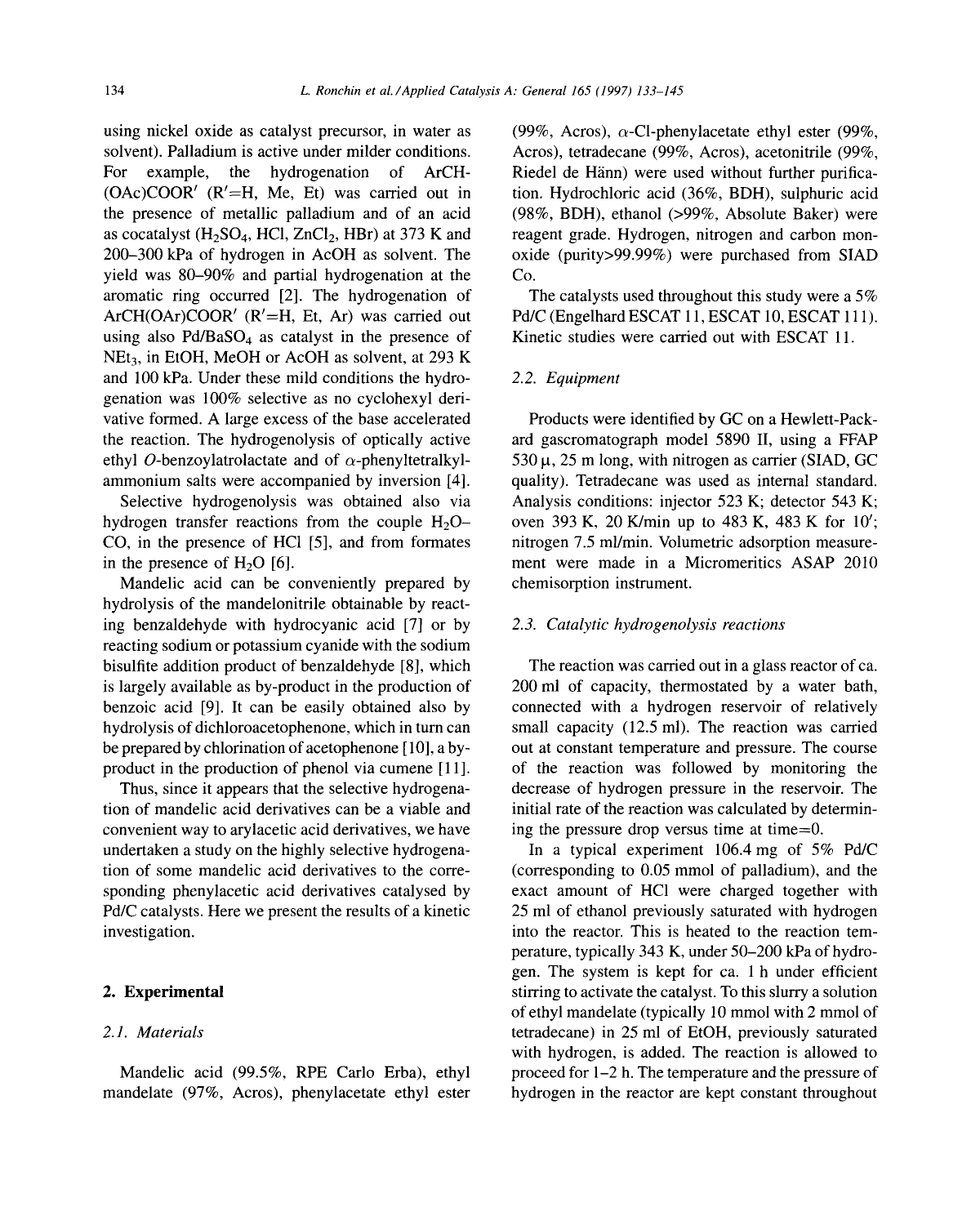solvent). Palladium is active under milder conditions. Acros), tetradecane (99%, Acros), acetonitrile (99%, For example, the hydrogenation of ArCH- Riedel de Hänn) were used without further purifica- $(OAc)COOR'$  ( $R'=H$ , Me, Et) was carried out in tion. Hydrochloric acid (36%, BDH), sulphuric acid the presence of metallic palladium and of an acid (98%, BDH), ethanol (>99%, Absolute Baker) were as cocatalyst  $(H_2SO_4, HCl, ZnCl_2, HBr)$  at 373 K and reagent grade. Hydrogen, nitrogen and carbon mon-200-300 kPa of hydrogen in AcOH as solvent. The oxide (purity>99.99%) were purchased from SIAD yield was 80-90% and partial hydrogenation at the Co. aromatic ring occurred [2]. The hydrogenation of The catalysts used throughout this study were a 5% ArCH(OAr)COOR' (R'=H, Et, Ar) was carried out Pd/C (Engelhard ESCAT 11, ESCAT 10, ESCAT 111). using also  $Pd/BaSO_4$  as catalyst in the presence of Kinetic studies were carried out with ESCAT 11.  $NEt_3$ , in EtOH, MeOH or AcOH as solvent, at 293 K and 100 kPa. Under these mild conditions the hydro- *2.2. Equipment*  genation was 100% selective as no cyclohexyl derivative formed. A large excess of the base accelerated Products were identified by GC on a Hewlett-Packthe reaction. The hydrogenolysis of optically active ard gascromatograph model 5890 II, using a FFAP ethyl O-benzoylatrolactate and of  $\alpha$ -phenyltetralkyl- 530  $\mu$ , 25 m long, with nitrogen as carrier (SIAD, GC ammonium salts were accompanied by inversion [4]. quality). Tetradecane was used as internal standard.

hydrogen transfer reactions from the couple  $H_2O-$  oven 393 K, 20 K/min up to 483 K, 483 K for 10<sup>'</sup>; CO, in the presence of HC1 [5], and from formates nitrogen 7.5 ml/min. Volumetric adsorption measurein the presence of H<sub>2</sub>O [6]. ment were made in a Micromeritics ASAP 2010

Mandelic acid can be conveniently prepared by chemisorption instrument. hydrolysis of the mandelonitrile obtainable by reacting benzaldehyde with hydrocyanic acid [7] or by *2.3. Catalytic hydrogenolysis reactions*  reacting sodium or potassium cyanide with the sodium bisulfite addition product of benzaldehyde [8], which The reaction was carried out in a glass reactor of ca. is largely available as by-product in the production of 200 ml of capacity, thermostated by a water bath, benzoic acid [9]. It can be easily obtained also by connected with a hydrogen reservoir of relatively hydrolysis of dichloroacetophenone, which in turn can small capacity (12.5 ml). The reaction was carried be prepared by chlorination of acetophenone [10], a by- out at constant temperature and pressure. The course product in the production of phenol via cumene [11]. of the reaction was followed by monitoring the

tion of mandelic acid derivatives can be a viable and initial rate of the reaction was calculated by determinconvenient way to arylacetic acid derivatives, we have ing the pressure drop versus time at time=0. undertaken a study on the highly selective hydrogena- In a typical experiment 106.4 mg of 5% Pd/C

mandelate (97%, Acros), phenylacetate ethyl ester hydrogen in the reactor are kept constant throughout

using nickel oxide as catalyst precursor, in water as (99%, Acros),  $\alpha$ -Cl-phenylacetate ethyl ester (99%,

Selective hydrogenolysis was obtained also via Analysis conditions: injector 523 K; detector 543 K;

Thus, since it appears that the selective hydrogena- decrease of hydrogen pressure in the reservoir. The

tion of some mandelic acid derivatives to the corre- (corresponding to 0.05 mmol of palladium), and the sponding phenylacetic acid derivatives catalysed by exact amount of HC1 were charged together with Pd/C catalysts. Here we present the results of a kinetic 25 ml of ethanol previously saturated with hydrogen investigation. **into the reactor.** This is heated to the reaction temperature, typically 343 K, under 50-200 kPa of hydrogen. The system is kept for ca. 1 h under efficient 2. Experimental stirring to activate the catalyst. To this slurry a solution of ethyl mandelate (typically 10 mmol with 2 mmol of *2.1. Materials* tetradecane) in 25 ml of EtOH, previously saturated with hydrogen, is added. The reaction is allowed to Mandelic acid (99.5%, RPE Carlo Erba), ethyl proceed for 1–2 h. The temperature and the pressure of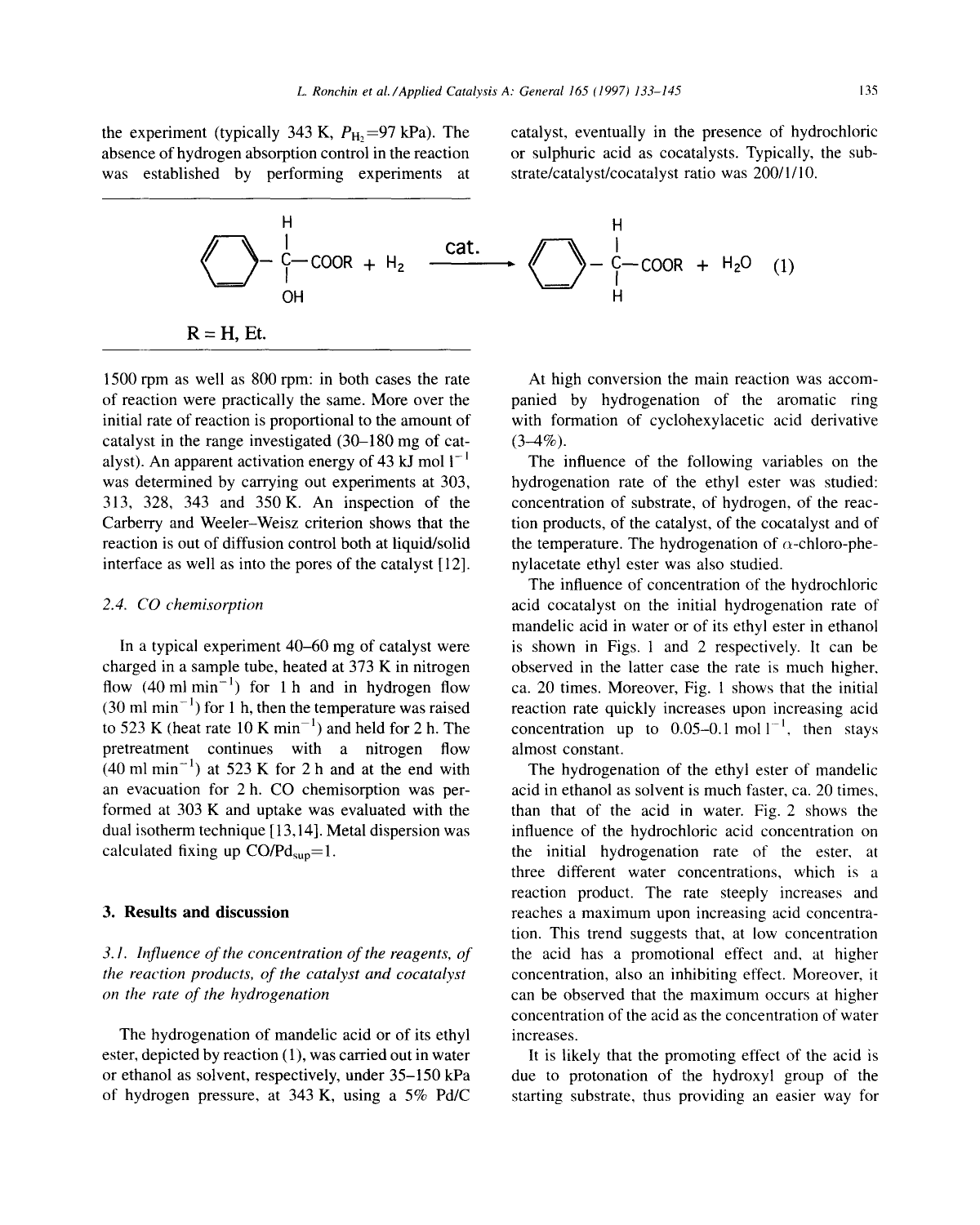was established by performing experiments at strate/catalyst/cocatalyst ratio was 200/1/10.

the experiment (typically 343 K,  $P_{\text{H}_2}=97 \text{ kPa}$ ). The catalyst, eventually in the presence of hydrochloric absence of hydrogen absorption control in the reaction or sulphuric acid as cocatalysts. Typically, the sub-



1500 rpm as well as 800 rpm: in both cases the rate At high conversion the main reaction was accomof reaction were practically the same. More over the panied by hydrogenation of the aromatic ring initial rate of reaction is proportional to the amount of with formation of cyclohexylacetic acid derivative catalyst in the range investigated  $(30-180 \text{ mg of cat} - (3-4\%)$ . alyst). An apparent activation energy of 43 kJ mol  $I^{-1}$  The influence of the following variables on the was determined by carrying out experiments at 303, bydrogenation rate of the ethyl ester was studied: 313, 328, 343 and 350 K. An inspection of the concentration of substrate, of hydrogen, of the reac-Carberry and Weeler-Weisz criterion shows that the tion products, of the catalyst, of the cocatalyst and of reaction is out of diffusion control both at liquid/solid the temperature. The hydrogenation of  $\alpha$ -chloro-pheinterface as well as into the pores of the catalyst [12]. nylacetate ethyl ester was also studied.

charged in a sample tube, heated at 373 K in nitrogen observed in the latter case the rate is much higher, flow  $(40 \text{ ml min}^{-1})$  for 1 h and in hydrogen flow ca. 20 times. Moreover, Fig. 1 shows that the initial flow (40 ml min<sup>-1</sup>) for 1 h and in hydrogen flow ca. 20 times. Moreover, Fig. 1 shows that the initial (30 ml min<sup>-1</sup>) for 1 h, then the temperature was raised reaction rate quickly increases upon increasing acid (30 ml min<sup>-1</sup>) for 1 h, then the temperature was raised reaction rate quickly increases upon increasing acid to 523 K (heat rate 10 K min<sup>-1</sup>) and held for 2 h. The concentration up to 0.05-0.1 mol  $1^{-1}$ , then stays pretreatment continues with a nitrogen flow almost constant.  $(40 \text{ ml min}^{-1})$  at 523 K for 2 h and at the end with The hydrogenation of the ethyl ester of mandelic an evacuation for 2 h. CO chemisorption was per- acid in ethanol as solvent is much faster, ca. 20 times, formed at 303 K and uptake was evaluated with the than that of the acid in water. Fig. 2 shows the dual isotherm technique [13,14]. Metal dispersion was influence of the hydrochloric acid concentration on calculated fixing up  $CO/Pd_{\text{sup}}=1$ . the initial hydrogenation rate of the ester, at

*the reaction products, of the catalyst and cocatalyst* concentration, also an inhibiting effect. Moreover, it *on the rate of the hydrogenation* **can be observed that the maximum occurs at higher** 

The hydrogenation of mandelic acid or of its ethyl increases. ester, depicted by reaction (1), was carried out in water It is likely that the promoting effect of the acid is

The influence of concentration of the hydrochloric *2.4. CO chemisorption* acid cocatalyst on the initial hydrogenation rate of mandelic acid in water or of its ethyl ester in ethanol In a typical experiment 40–60 mg of catalyst were is shown in Figs. 1 and 2 respectively. It can be charged in a sample tube, heated at 373 K in nitrogen observed in the latter case the rate is much higher, concentration up to 0.05-0.1 mol  $l^{-1}$ , then stays

three different water concentrations, which is a reaction product. The rate steeply increases and 3. Results and discussion **reaches a maximum upon increasing acid concentra**tion. This trend suggests that, at low concentration *3.1. Influence of the concentration of the reagents, of* the acid has a promotional effect and, at higher concentration of the acid as the concentration of water

or ethanol as solvent, respectively, under 35-150 kPa due to protonation of the hydroxyl group of the of hydrogen pressure, at 343 K, using a 5% Pd/C starting substrate, thus providing an easier way for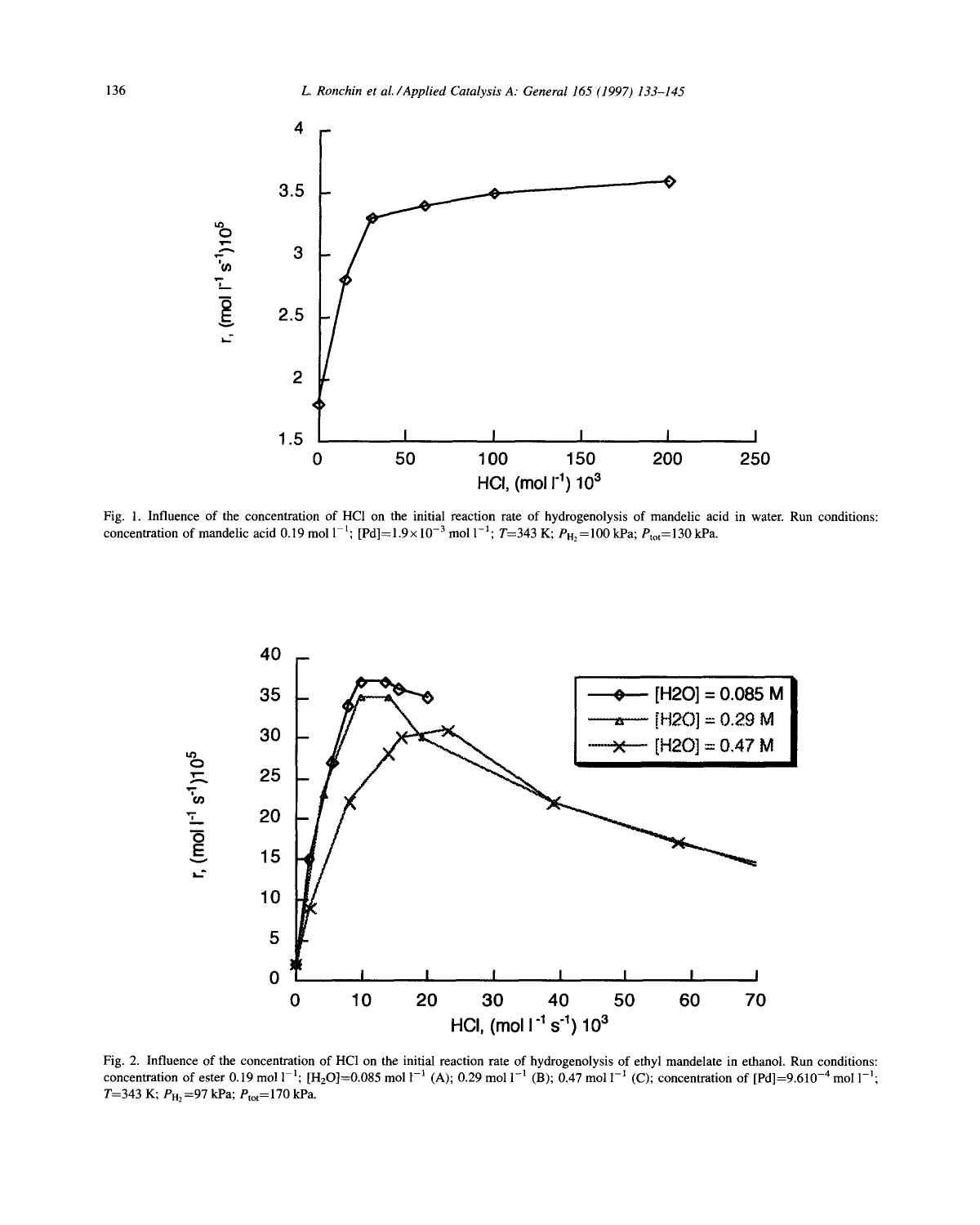

Fig. 1. Influence of the concentration of HC1 on the initial reaction rate of hydrogenolysis of mandelic acid in water. Run conditions: concentration of mandelic acid 0.19 mol  $1^{-1}$ ; [Pd]=1.9×10<sup>-3</sup> mol  $1^{-1}$ ; T=343 K;  $P_{H_2}$ =100 kPa;  $P_{tot}$ =130 kPa.



Fig. 2. Influence of the concentration of HC1 on the initial reaction rate of hydrogenolysis of ethyl mandelate in ethanol. Run conditions: concentration of ester 0.19 mol  $l^{-1}$ ; [H<sub>2</sub>O]=0.085 mol  $l^{-1}$  (A); 0.29 mol  $l^{-1}$  (B); 0.47 mol  $l^{-1}$  (C); concentration of [Pd]=9.610<sup>-4</sup> mol  $l^{-1}$ ; T=343 K;  $P_{\text{H}_2}$ =97 kPa;  $P_{\text{tot}}$ =170 kPa.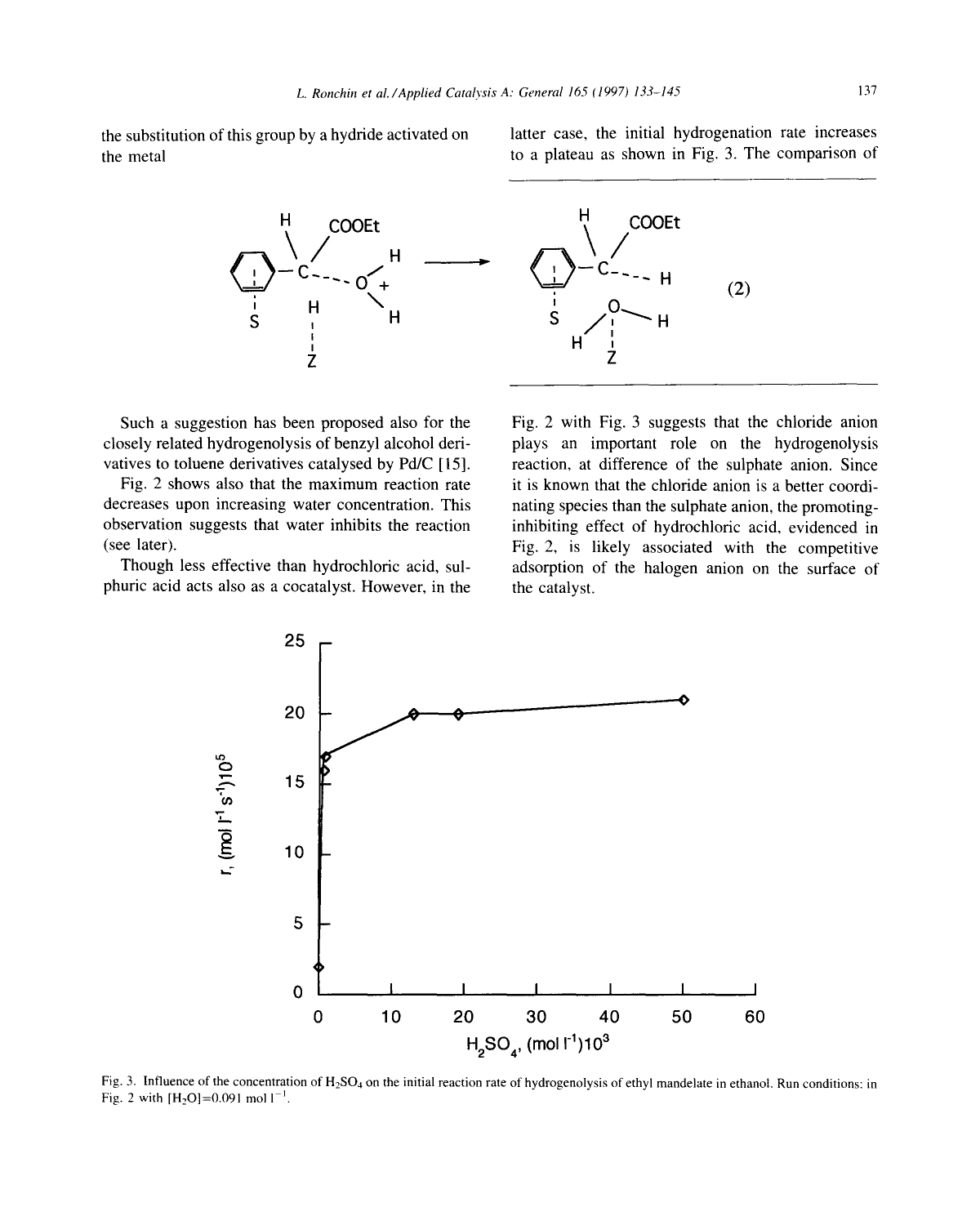the substitution of this group by a hydride activated on latter case, the initial hydrogenation rate increases the metal to a plateau as shown in Fig. 3. The comparison of





closely related hydrogenolysis of benzyl alcohol deri-<br>plays an important role on the hydrogenolysis

decreases upon increasing water concentration. This nating species than the sulphate anion, the promotingobservation suggests that water inhibits the reaction inhibiting effect of hydrochloric acid, evidenced in

phuric acid acts also as a cocatalyst. However, in the the catalyst.

Such a suggestion has been proposed also for the Fig. 2 with Fig. 3 suggests that the chloride anion vatives to toluene derivatives catalysed by Pd/C [15]. reaction, at difference of the sulphate anion. Since Fig. 2 shows also that the maximum reaction rate it is known that the chloride anion is a better coordi-(see later). Fig. 2, is likely associated with the competitive Though less effective than hydrochloric acid, sul- adsorption of the halogen anion on the surface of



Fig. 3. Influence of the concentration of  $H_2SO_4$  on the initial reaction rate of hydrogenolysis of ethyl mandelate in ethanol. Run conditions: in Fig. 2 with  $[H_2O]=0.091$  mol  $I^{-1}$ .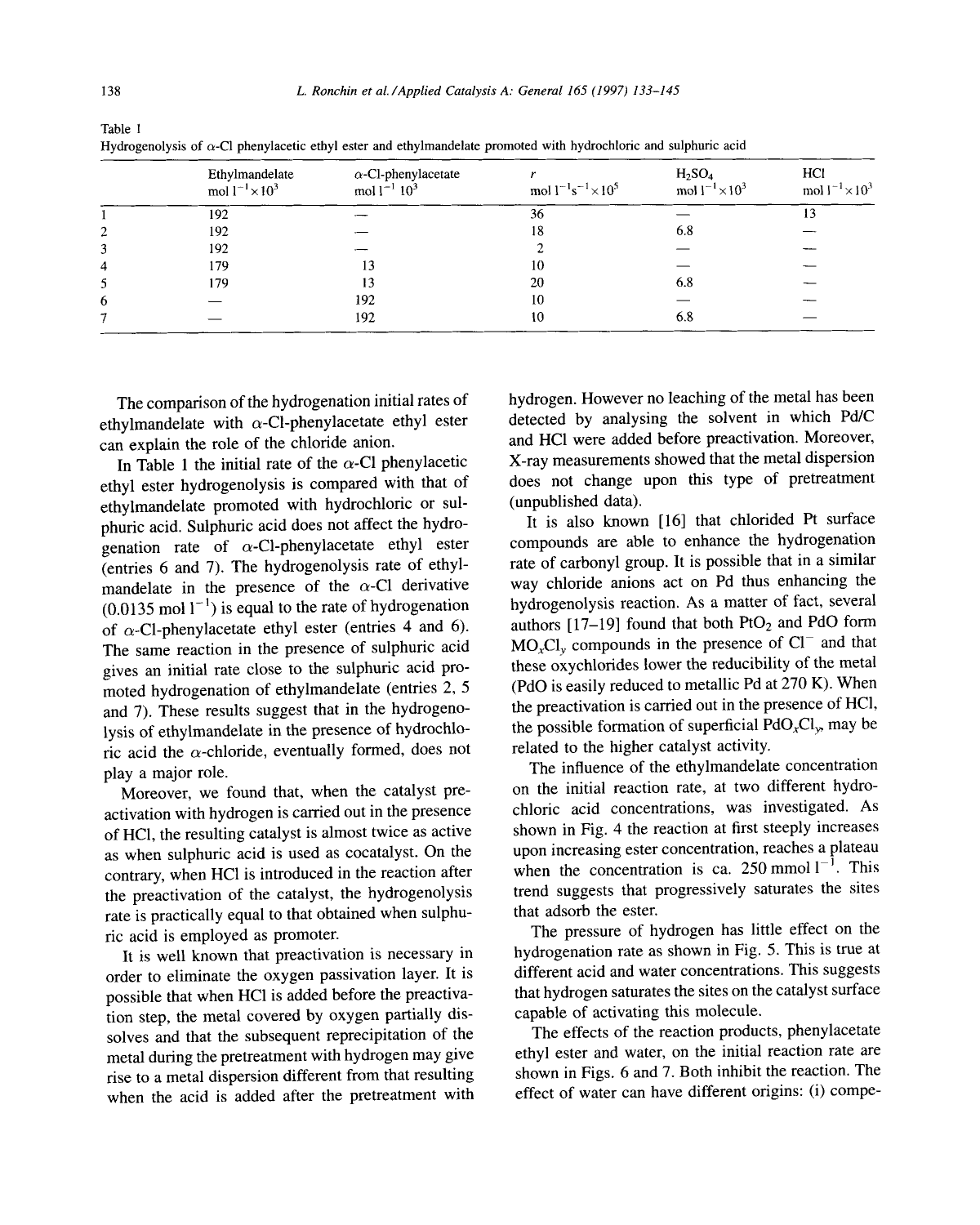|   | Ethylmandelate<br>mol $1^{-1} \times 10^3$ | $\alpha$ -Cl-phenylacetate<br>mol $1^{-1}$ $10^3$ | mol $1^{-1}$ s <sup>-1</sup> $\times$ 10 <sup>5</sup> | H <sub>2</sub> SO <sub>4</sub><br>mol $1^{-1} \times 10^3$ | HCI<br>mol $1^{-1} \times 10^3$ |
|---|--------------------------------------------|---------------------------------------------------|-------------------------------------------------------|------------------------------------------------------------|---------------------------------|
|   | 192                                        |                                                   | 36                                                    |                                                            | 13                              |
|   | 192                                        |                                                   | 18                                                    | 6.8                                                        |                                 |
|   | 192                                        |                                                   |                                                       |                                                            |                                 |
| 4 | 179                                        | 13                                                | 10                                                    |                                                            |                                 |
|   | 179                                        | 13                                                | 20                                                    | 6.8                                                        |                                 |
| 6 |                                            | 192                                               | 10                                                    |                                                            |                                 |
|   |                                            | 192                                               | 10                                                    | 6.8                                                        |                                 |

| Table 1                                                                                                                  |  |  |  |
|--------------------------------------------------------------------------------------------------------------------------|--|--|--|
| Hydrogenolysis of $\alpha$ -Cl phenylacetic ethyl ester and ethylmandelate promoted with hydrochloric and sulphuric acid |  |  |  |

ethylmandelate with  $\alpha$ -Cl-phenylacetate ethyl ester detected by analysing the solvent in which Pd/C<br>can explain the role of the chloride anion.

ethyl ester hydrogenolysis is compared with that of ethylmandelate promoted with hydrochloric or sul-<br>
oburic acid Sulphuric acid does not affect the hydro-<br>
It is also known [16] that chlorided Pt surface phuric acid. Sulphuric acid does not affect the hydro-<br>  $\frac{16}{16}$  that chlorided Pt surface<br>  $\frac{16}{16}$  rate of  $\alpha$ -Cl-phenylacetate ethyl ester compounds are able to enhance the hydrogenation genation rate of  $\alpha$ -Cl-phenylacetate ethyl ester compounds are able to enhance the hydrogenation<br>(entries 6 and 7) The hydrogenolysis rate of ethyl-<br>rate of carbonyl group. It is possible that in a similar (entries 6 and 7). The hydrogenolysis rate of ethyl-<br>mandelate in the presence of the  $\alpha$ -Cl derivative wav chloride anions act on Pd thus enhancing the mandelate in the presence of the  $\alpha$ -Cl derivative way chloride anions act on Pd thus enhancing the (0.0135 mol 1<sup>-1</sup>) is equal to the rate of hydrogenation by by the by the by the several (0.0135 mol  $1^{-1}$ ) is equal to the rate of hydrogenation hydrogenolysis reaction. As a matter of fact, several of  $\alpha$ -Cl-phenvlacetate ethyl ester (entries 4 and 6). authors [17–19] found that both PtO<sub>2</sub> and PdO form of  $\alpha$ -Cl-phenylacetate ethyl ester (entries 4 and 6). authors [17–19] found that both PtO<sub>2</sub> and PdO form<br>The same reaction in the presence of sulphuric acid MO<sub>r</sub>Cl<sub>y</sub> compounds in the presence of Cl<sup>-</sup> and that The same reaction in the presence of sulphuric acid  $MO_xCl_y$  compounds in the presence of  $Cl^-$  and that gives an initial rate close to the sulphuric acid pro-<br>these oxychlorides lower the reducibility of the metal gives an initial rate close to the sulphuric acid pro-<br>moted hydrogenation of ethylmandelate (entries 2.5 (PdO is easily reduced to metallic Pd at 270 K). When moted hydrogenation of ethylmandelate (entries 2, 5 (PdO is easily reduced to metallic Pd at 270 K). When and  $\sigma$ ) These results suggest that in the hydrogeno-<br>the preactivation is carried out in the presence of HCl, and 7). These results suggest that in the hydrogeno-<br>lusis of ethylmandelate in the presence of hydrochlo-<br>the possible formation of superficial  $PdO_xCl_x$ , may be lysis of ethylmandelate in the presence of hydrochlo-<br>ric acid the  $\alpha$ -chloride, eventually formed, does not related to the higher catalyst activity. ric acid the  $\alpha$ -chloride, eventually formed, does not play a major role. The influence of the ethylmandelate concentration

activation with hydrogen is carried out in the presence chloric acid concentrations, was investigated. As<br>of HCl, the resulting catalyst is almost twice as active shown in Fig. 4 the reaction at first steeply increases of HCl, the resulting catalyst is almost twice as active shown in Fig. 4 the reaction at first steeply increases as when sulphuric acid is used as cocatalyst. On the upon increasing ester concentration, reaches a plateau as when sulphuric acid is used as cocatalyst. On the upon increasing ester concentration, reaches a plateau<br>contrary when HCl is introduced in the reaction after when the concentration is ca. 250 mmol  $1^{-1}$ . This contrary, when HCl is introduced in the reaction after when the concentration is ca. 250 mmol 1. This<br>the preactivation of the catalyst, the hydrogenolysis trend suggests that progressively saturates the sites the preactivation of the catalyst, the hydrogenolysis rate is practically equal to that obtained when sulphu- that adsorb the ester.

order to eliminate the oxygen passivation layer. It is different acid and water concentrations. This suggests nossible that when HCl is added before the preactiva-<br>that hydrogen saturates the sites on the catalyst surface possible that when HCl is added before the preactiva-<br>that hydrogen saturates the sites on the<br>capable of activating this molecule. tion step, the metal covered by oxygen partially dis-<br>solves and that the subsequent reprecipitation of the The effects of the reaction products, phenylacetate solves and that the subsequent reprecipitation of the The effects of the reaction products, phenylacetate metal during the pretreatment with hydrogen may give ethyl ester and water, on the initial reaction rate are metal during the pretreatment with hydrogen may give ethyl ester and water, on the initial reaction rate are<br>rise to a metal dispersion different from that resulting shown in Figs. 6 and 7. Both inhibit the reaction. The rise to a metal dispersion different from that resulting shown in Figs. 6 and 7. Both inhibit the reaction. The when the acid is added after the pretreatment with effect of water can have different origins: (i) compewhen the acid is added after the pretreatment with

The comparison of the hydrogenation initial rates of hydrogen. However no leaching of the metal has been<br>hylmandelate with  $\alpha$ -Cl-phenylacetate ethyl ester detected by analysing the solvent in which Pd/C can explain the role of the chloride anion.<br>In Table 1 the initial rate of the  $\alpha$ -Cl phenylacetic and HCl were added before preactivation. Moreover,<br>In Table 1 the initial rate of the  $\alpha$ -Cl phenylacetic and X-ray meas In Table 1 the initial rate of the  $\alpha$ -Cl phenylacetic X-ray measurements showed that the metal dispersion<br>by ester hydrogenolysis is compared with that of does not change upon this type of pretreatment

Moreover, we found that, when the catalyst pre-<br>tivation with hydrogen is carried out in the presence chloric acid concentrations, was investigated. As

ric acid is employed as promoter.<br>It is well known that preactivation is necessary in bydrogenation rate as shown in Fig. 5. This is true at It is well known that preactivation is necessary in hydrogenation rate as shown in Fig. 5. This is true at It is different acid and water concentrations. This suggests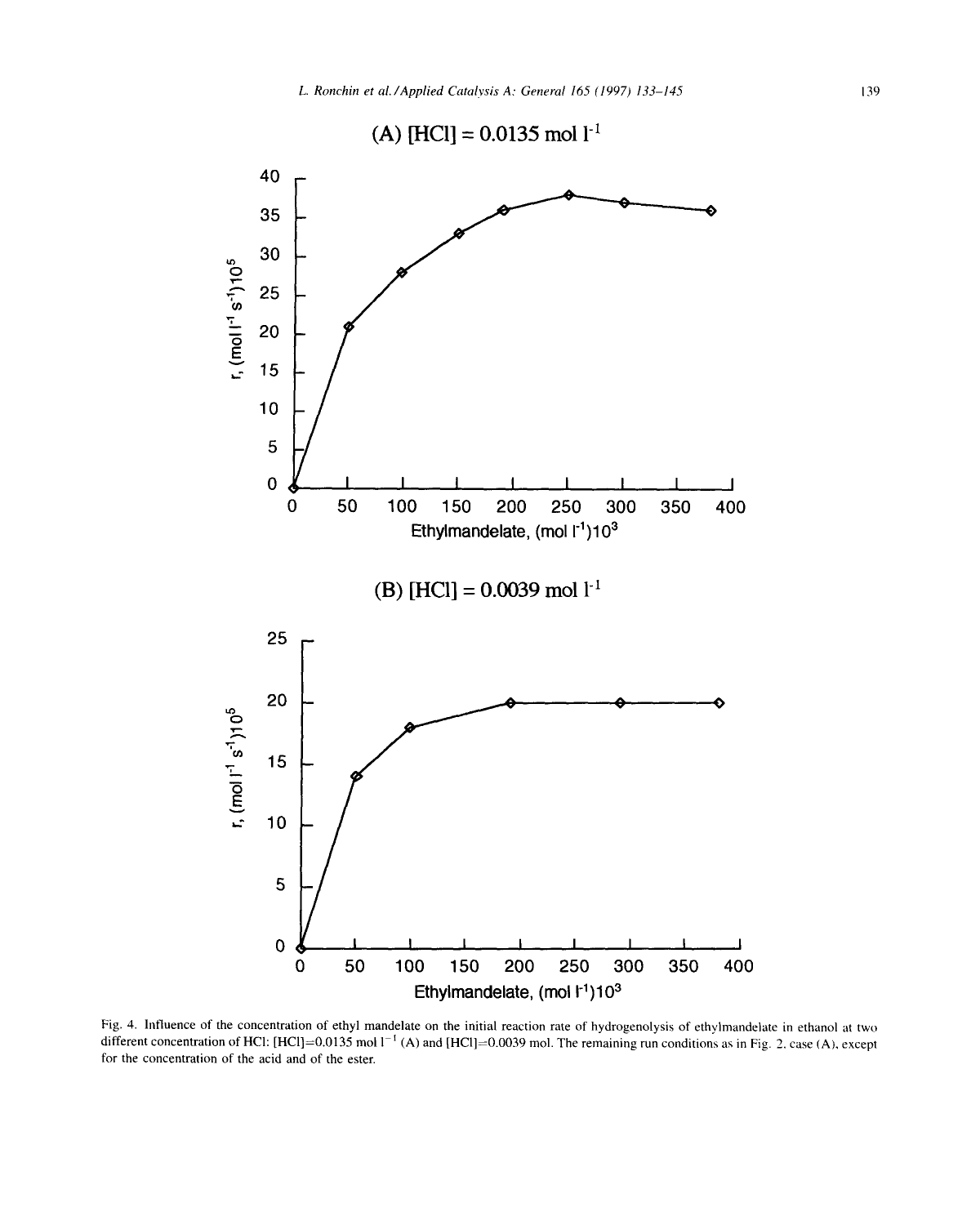

Fig. 4. Influence of the concentration of ethyl mandelate on the initial reaction rate of hydrogenolysis of ethylmandelate in ethanol at two different concentration of HCl: [HCl]=0.0135 mol  $1^{-1}$  (A) and [HCl]=0.0039 mol. The remaining run conditions as in Fig. 2, case (A), except for the concentration of the acid and of the ester.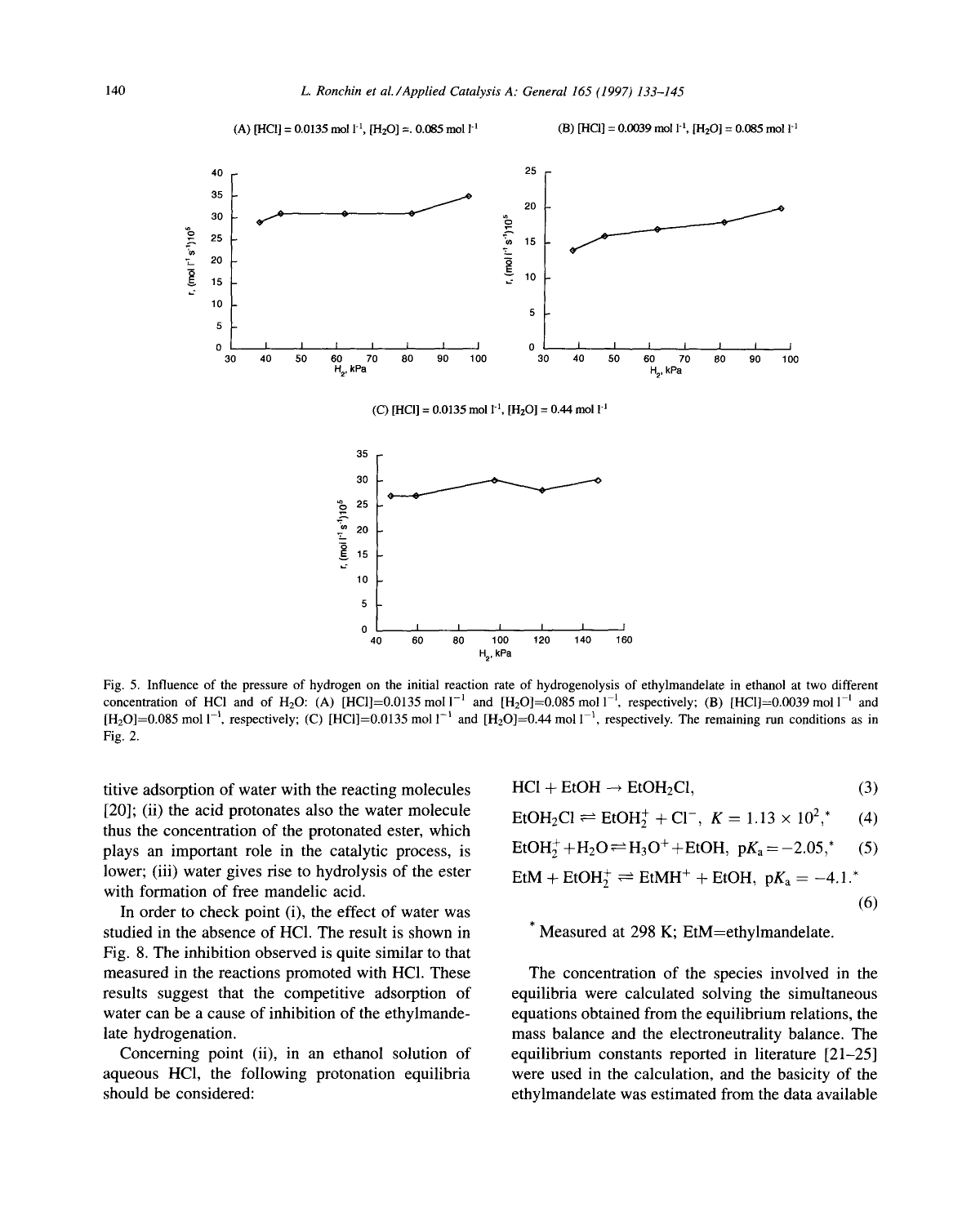



titive adsorption of water with the reacting molecules [20]; (ii) the acid protonates also the water molecule **thus the concentration of the protonated ester, which**  plays an important role in the catalytic process, is lower; (iii) water gives rise to hydrolysis of the ester **with formation of free mandelic acid.** 

In order to check point (i), the effect of water was (6) **studied in the absence of HC1. The result is shown in \* Measured at 298 K; EtM=ethylmandelate. Fig. 8. The inhibition observed is quite similar to that measured in the reactions promoted with HC1. These The concentration of the species involved in the results suggest that the competitive adsorption of equilibria were calculated solving the simultaneous**  water can be a cause of inhibition of the ethylmande- equations obtained from the equilibrium relations, the **late hydrogenation, mass balance and the electroneutrality balance. The** 

**aqueous HC1, the following protonation equilibria were used in the calculation, and the basicity of the should be considered: ethylmandelate was estimated from the data available** 

$$
HCl + EtOH \rightarrow EtOH_2Cl,
$$
 (3)

$$
EtOH_2Cl \rightleftharpoons EtOH_2^+ + Cl^-, K = 1.13 \times 10^{2}, \tag{4}
$$

$$
EtOH2+ + H2O \rightleftharpoons H3O+ + EtOH, pKa = -2.05*, (5)
$$

$$
EtM + EtOH2+ \rightleftharpoons EtMH+ + EtOH, pKa = -4.1.
$$

**Concerning point (ii), in an ethanol solution of equilibrium constants reported in literature [21-25]**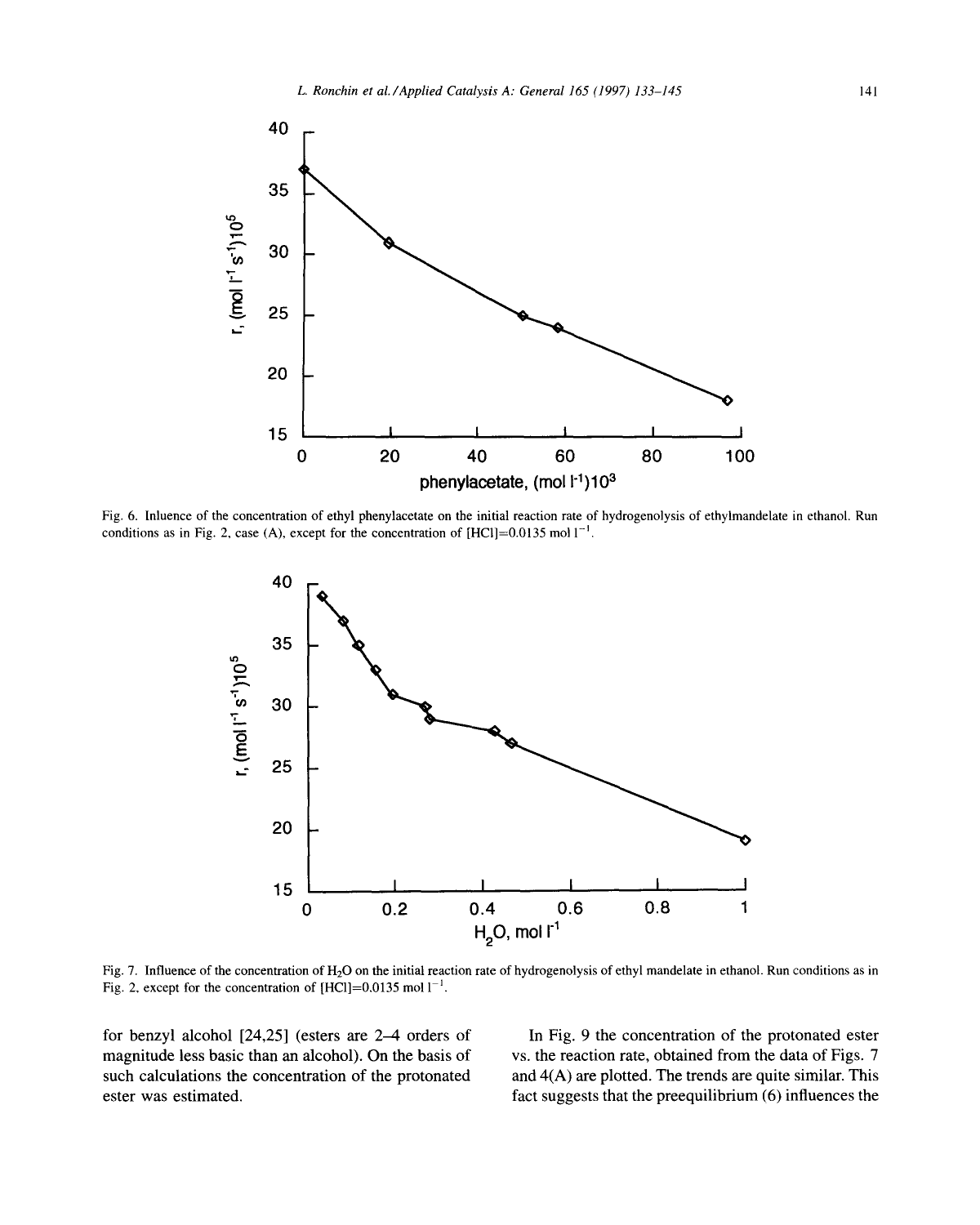

Fig. 6. Inluence of the concentration of ethyl phenylacetate on the initial reaction rate of hydrogenolysis of ethylmandelate in ethanol. Run conditions as in Fig. 2, case (A), except for the concentration of  $[HCl]=0.0135$  mol  $1^{-1}$ .



Fig. 7. Influence of the concentration of H20 on the initial reaction rate of hydrogenolysis of ethyl mandelate in ethanol. Run conditions as in Fig. 2, except for the concentration of  $[HCI]=0.0135$  mol  $1^{-1}$ .

magnitude less basic than an alcohol). On the basis of vs. the reaction rate, obtained from the data of Figs. 7 such calculations the concentration of the protonated and  $4(A)$  are plotted. The trends are quite similar. This ester was estimated, fact suggests that the preequilibrium (6) influences the

for benzyl alcohol [24,25] (esters are 2–4 orders of In Fig. 9 the concentration of the protonated ester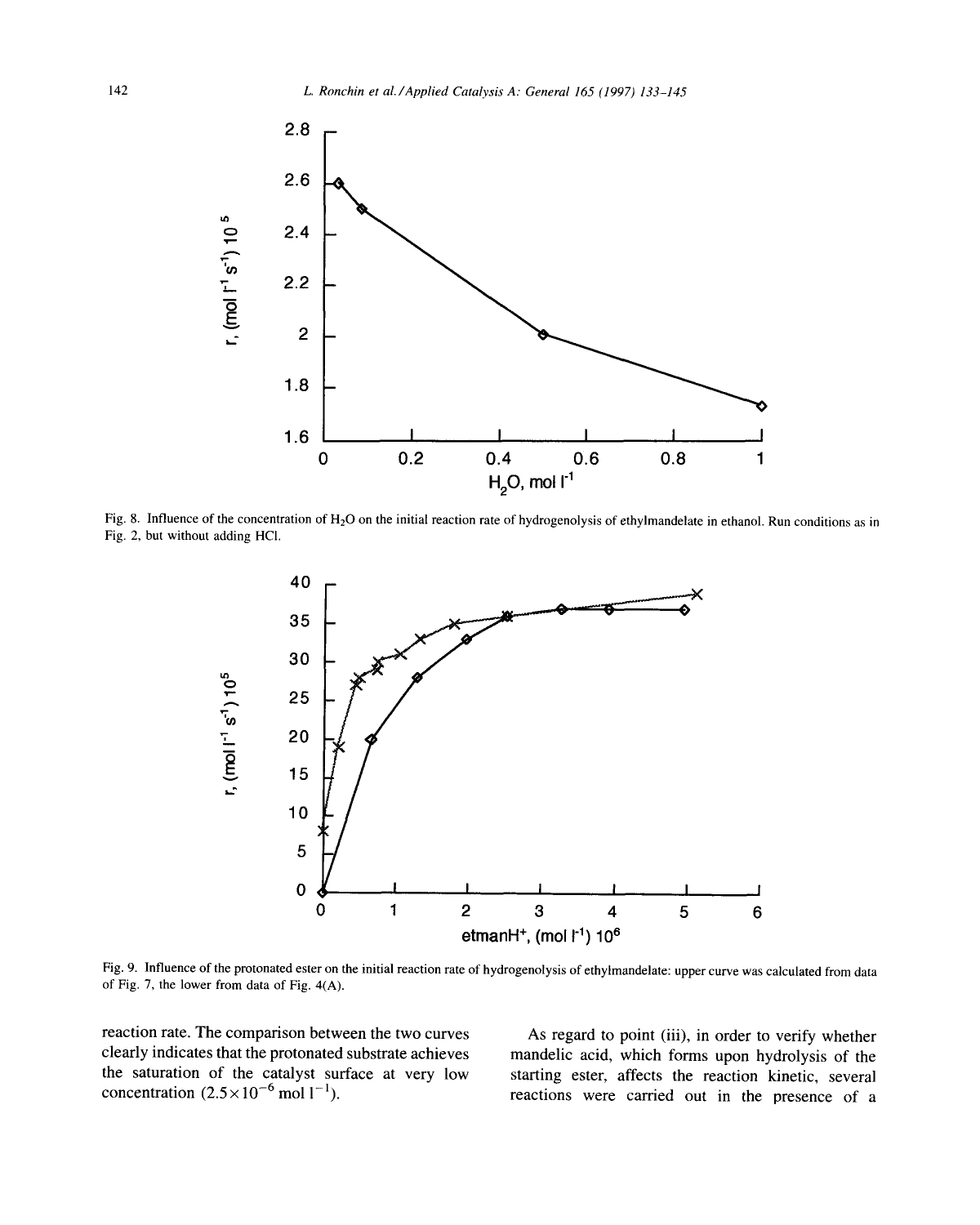

Fig. 8. Influence of the concentration of H<sub>2</sub>O on the initial reaction rate of hydrogenolysis of ethylmandelate in ethanol. Run conditions as in Fig. 2, but without adding HCI.



Fig. 9. Influence of the protonated ester on the initial reaction rate of hydrogenolysis of ethylmandelate: upper curve was calculated from data of Fig, 7, the lower from data of Fig. 4(A).

reaction rate. The comparison between the two curves As regard to point (iii), in order to verify whether clearly indicates that the protonated substrate achieves mandelic acid, which forms upon hydrolysis of the the saturation of the catalyst surface at very low starting ester, affects the reaction kinetic, several the saturation of the catalyst surface at very low starting ester, affects the reaction kinetic, several concentration  $(2.5 \times 10^{-6} \text{ mol l}^{-1})$ .

reactions were carried out in the presence of a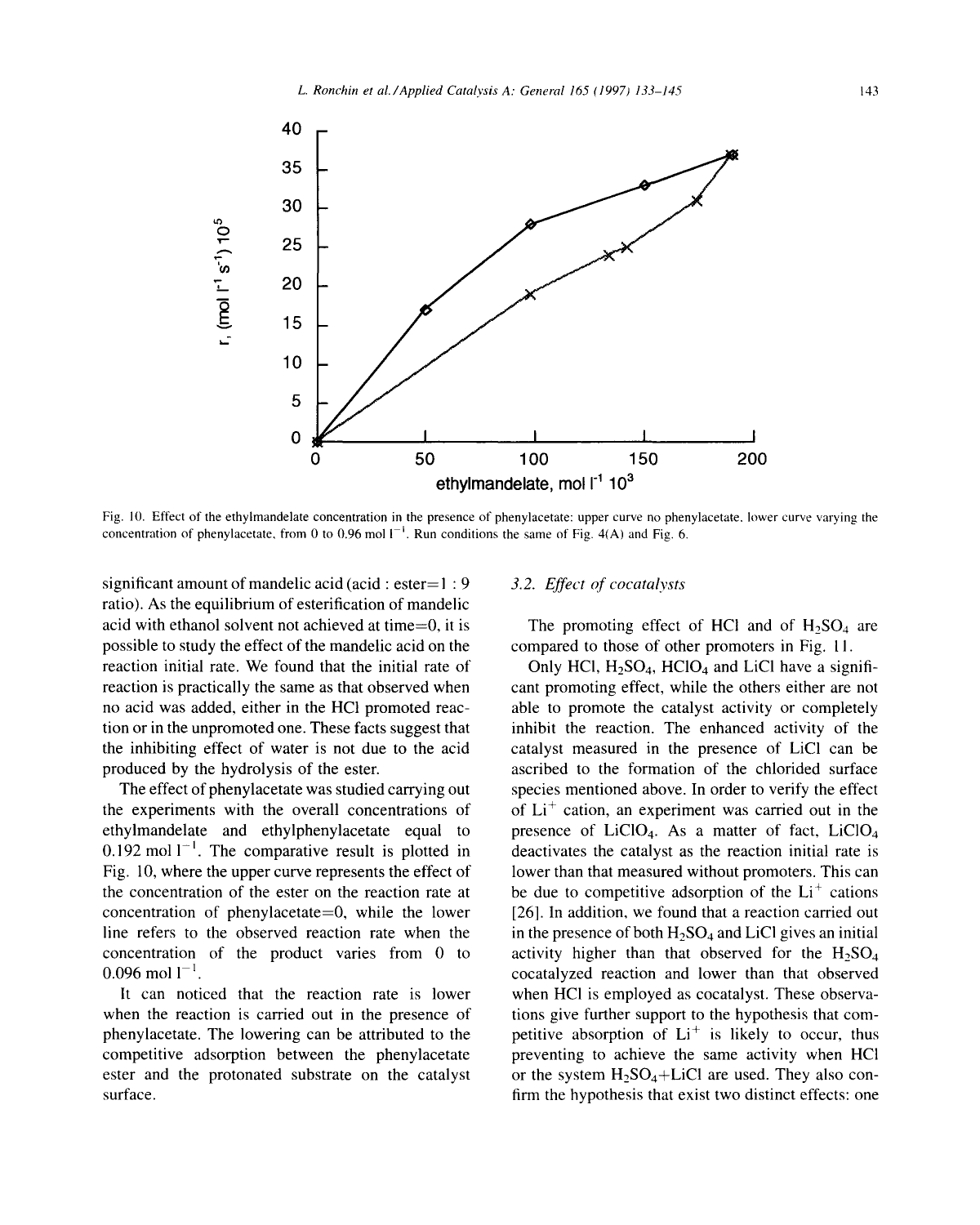

Fig. 10. Effect of the ethylmandelate concentration in the presence of phenylacetate: upper curve no phenylacetate, lower curve varying the concentration of phenylacetate, from 0 to 0.96 mol  $I^{-1}$ . Run conditions the same of Fig. 4(A) and Fig. 6.

significant amount of mandelic acid (acid : ester= *1 : 9 3.2. Effect of cocatalysts*  ratio). As the equilibrium of esterification of mandelic acid with ethanol solvent not achieved at time=0, it is The promoting effect of HCl and of  $H_2SO_4$  are possible to study the effect of the mandelic acid on the compared to those of other promoters in Fig. 11. reaction initial rate. We found that the initial rate of Only HCl,  $H_2SO_4$ , HClO<sub>4</sub> and LiCl have a signifireaction is practically the same as that observed when cant promoting effect, while the others either are not no acid was added, either in the HC1 promoted reac- able to promote the catalyst activity or completely tion or in the unpromoted one. These facts suggest that inhibit the reaction. The enhanced activity of the the inhibiting effect of water is not due to the acid catalyst measured in the presence of LiC1 can be produced by the hydrolysis of the ester. ascribed to the formation of the chlorided surface

the experiments with the overall concentrations of of  $Li<sup>+</sup>$  cation, an experiment was carried out in the ethylmandelate and ethylphenylacetate equal to presence of  $LiClO<sub>4</sub>$ . As a matter of fact,  $LiClO<sub>4</sub>$ 0.192 mol  $1^{-1}$ . The comparative result is plotted in deactivates the catalyst as the reaction initial rate is Fig. 10, where the upper curve represents the effect of lower than that measured without promoters. This can the concentration of the ester on the reaction rate at be due to competitive adsorption of the  $Li<sup>+</sup>$  cations concentration of phenylacetate=0, while the lower  $[26]$ . In addition, we found that a reaction carried out line refers to the observed reaction rate when the in the presence of both  $H_2SO_4$  and LiCl gives an initial concentration of the product varies from  $0$  to activity higher than that observed for the  $H<sub>5</sub>SO<sub>4</sub>$  $0.096$  mol  $1^{-1}$ .

when the reaction is carried out in the presence of tions give further support to the hypothesis that comphenylacetate. The lowering can be attributed to the petitive absorption of  $Li<sup>+</sup>$  is likely to occur, thus competitive adsorption between the phenylacetate preventing to achieve the same activity when HCI ester and the protonated substrate on the catalyst or the system  $H_2SO_4+LiCl$  are used. They also consurface. **firm the hypothesis that exist two distinct effects: one** 

The effect of phenylacetate was studied carrying out species mentioned above. In order to verify the effect It can noticed that the reaction rate is lower when HCI is employed as cocatalyst. These observa-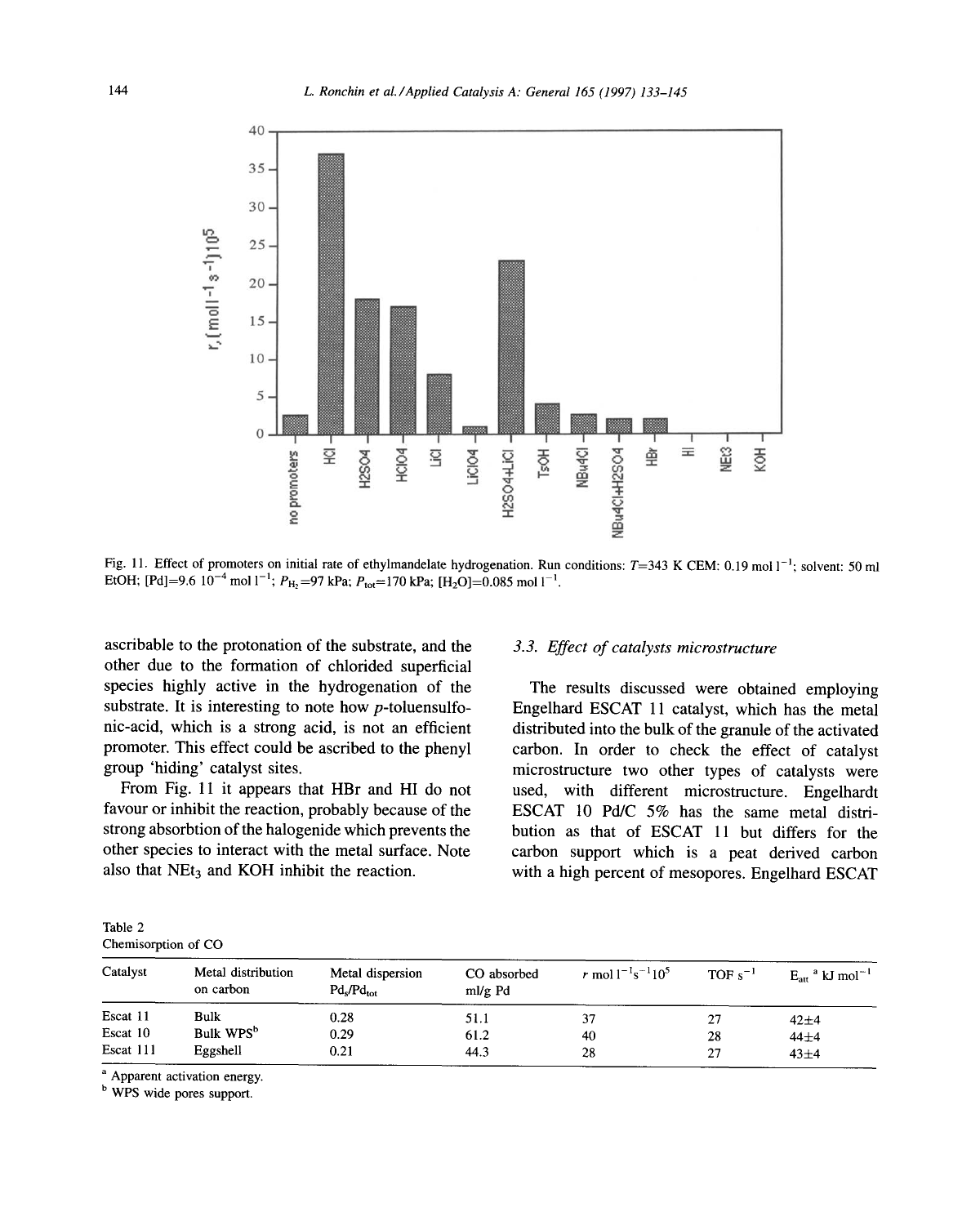

Fig. 11. Effect of promoters on initial rate of ethylmandelate hydrogenation. Run conditions:  $T=343$  K CEM: 0.19 mol  $1^{-1}$ ; solvent: 50 ml EtOH; [Pd]=9.6 10<sup>-4</sup> mol 1<sup>-1</sup>; P<sub>H<sub>2</sub>=97 kPa; P<sub>tot</sub>=170 kPa; [H<sub>2</sub>O]=0.085 mol 1<sup>-1</sup>.</sub>

ascribable to the protonation of the substrate, and the *3.3. Effect of catalysts microstructure*  other due to the formation of chlorided superficial species highly active in the hydrogenation of the The results discussed were obtained employing substrate. It is interesting to note how  $p$ -toluensulfo-<br>Engelhard ESCAT 11 catalyst, which has the metal nic-acid, which is a strong acid, is not an efficient distributed into the bulk of the granule of the activated promoter. This effect could be ascribed to the phenyl carbon. In order to check the effect of catalyst group 'hiding' catalyst sites, microstructure two other types of catalysts were

favour or inhibit the reaction, probably because of the ESCAT 10 Pd/C  $5\%$  has the same metal distristrong absorbtion of the halogenide which prevents the bution as that of ESCAT 11 but differs for the other species to interact with the metal surface. Note carbon support which is a peat derived carbon also that  $NEt<sub>3</sub>$  and KOH inhibit the reaction. with a high percent of mesopores. Engelhard ESCAT

Engelhard ESCAT 11 catalyst, which has the metal From Fig. 11 it appears that HBr and HI do not used, with different microstructure. Engelhardt

| Table 2             |  |
|---------------------|--|
| Chemisorption of CO |  |

| Catalyst  | Metal distribution<br>on carbon | Metal dispersion<br>$Pd_{\rm s}/Pd_{\rm tot}$ | CO absorbed<br>ml/g Pd | r mol $1^{-1}$ s <sup>-1</sup> 10 <sup>5</sup> | $TOF s^{-1}$ | $E_{\text{att}}^{\text{a}}$ kJ mol <sup>-1</sup> |
|-----------|---------------------------------|-----------------------------------------------|------------------------|------------------------------------------------|--------------|--------------------------------------------------|
| Escat 11  | Bulk                            | 0.28                                          | 51.1                   |                                                | 27           | $42 + 4$                                         |
| Escat 10  | Bulk WPS <sup>b</sup>           | 0.29                                          | 61.2                   | 40                                             | 28           | $44 + 4$                                         |
| Escat 111 | Eggshell                        | 0.21                                          | 44.3                   | 28                                             | 27           | $43\pm4$                                         |

<sup>a</sup> Apparent activation energy.

**b** WPS wide pores support.